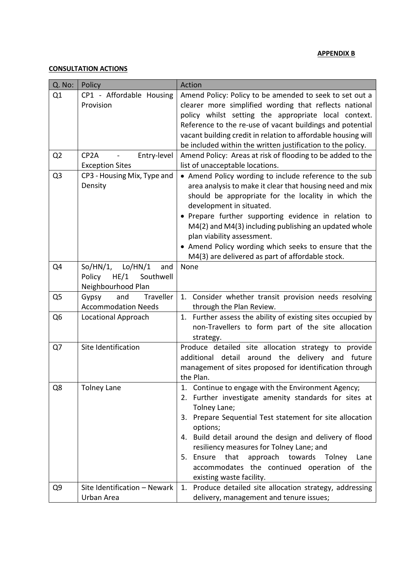## **APPENDIX B**

## **CONSULTATION ACTIONS**

| Q. No:         | Policy                                                                          | Action                                                                                                                                                                                                                                                                                                                                                                                                                                                            |
|----------------|---------------------------------------------------------------------------------|-------------------------------------------------------------------------------------------------------------------------------------------------------------------------------------------------------------------------------------------------------------------------------------------------------------------------------------------------------------------------------------------------------------------------------------------------------------------|
| Q1             | CP1 - Affordable Housing<br>Provision                                           | Amend Policy: Policy to be amended to seek to set out a<br>clearer more simplified wording that reflects national<br>policy whilst setting the appropriate local context.<br>Reference to the re-use of vacant buildings and potential<br>vacant building credit in relation to affordable housing will<br>be included within the written justification to the policy.                                                                                            |
| Q <sub>2</sub> | Entry-level<br>CP <sub>2</sub> A<br><b>Exception Sites</b>                      | Amend Policy: Areas at risk of flooding to be added to the<br>list of unacceptable locations.                                                                                                                                                                                                                                                                                                                                                                     |
| Q <sub>3</sub> | CP3 - Housing Mix, Type and<br>Density                                          | • Amend Policy wording to include reference to the sub<br>area analysis to make it clear that housing need and mix<br>should be appropriate for the locality in which the<br>development in situated.<br>• Prepare further supporting evidence in relation to<br>M4(2) and M4(3) including publishing an updated whole<br>plan viability assessment.<br>• Amend Policy wording which seeks to ensure that the<br>M4(3) are delivered as part of affordable stock. |
| Q4             | So/HN/1,<br>Lo/HN/1<br>and<br>HE/1<br>Southwell<br>Policy<br>Neighbourhood Plan | None                                                                                                                                                                                                                                                                                                                                                                                                                                                              |
| Q <sub>5</sub> | and<br>Traveller<br>Gypsy<br><b>Accommodation Needs</b>                         | 1. Consider whether transit provision needs resolving<br>through the Plan Review.                                                                                                                                                                                                                                                                                                                                                                                 |
| Q <sub>6</sub> | <b>Locational Approach</b>                                                      | 1. Further assess the ability of existing sites occupied by<br>non-Travellers to form part of the site allocation<br>strategy.                                                                                                                                                                                                                                                                                                                                    |
| Q7             | Site Identification                                                             | Produce detailed site allocation strategy to provide<br>additional detail around the delivery and future<br>management of sites proposed for identification through<br>the Plan.                                                                                                                                                                                                                                                                                  |
| Q8             | <b>Tolney Lane</b>                                                              | 1. Continue to engage with the Environment Agency;<br>2. Further investigate amenity standards for sites at<br>Tolney Lane;<br>3. Prepare Sequential Test statement for site allocation<br>options;<br>4. Build detail around the design and delivery of flood<br>resiliency measures for Tolney Lane; and<br>5. Ensure<br>that<br>approach towards<br>Tolney<br>Lane<br>accommodates the continued operation of the<br>existing waste facility.                  |
| Q9             | Site Identification - Newark<br>Urban Area                                      | 1. Produce detailed site allocation strategy, addressing<br>delivery, management and tenure issues;                                                                                                                                                                                                                                                                                                                                                               |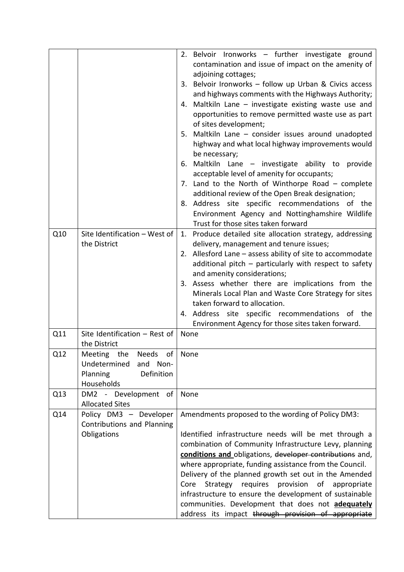|     |                                                                                                  | 2. Belvoir Ironworks - further investigate ground<br>contamination and issue of impact on the amenity of<br>adjoining cottages;<br>3. Belvoir Ironworks - follow up Urban & Civics access<br>and highways comments with the Highways Authority;<br>4. Maltkiln Lane - investigate existing waste use and<br>opportunities to remove permitted waste use as part<br>of sites development;<br>5. Maltkiln Lane - consider issues around unadopted<br>highway and what local highway improvements would<br>be necessary;<br>6. Maltkiln Lane - investigate ability to provide<br>acceptable level of amenity for occupants;<br>7. Land to the North of Winthorpe Road $-$ complete<br>additional review of the Open Break designation; |
|-----|--------------------------------------------------------------------------------------------------|-------------------------------------------------------------------------------------------------------------------------------------------------------------------------------------------------------------------------------------------------------------------------------------------------------------------------------------------------------------------------------------------------------------------------------------------------------------------------------------------------------------------------------------------------------------------------------------------------------------------------------------------------------------------------------------------------------------------------------------|
|     |                                                                                                  | 8. Address site specific recommendations of the<br>Environment Agency and Nottinghamshire Wildlife<br>Trust for those sites taken forward                                                                                                                                                                                                                                                                                                                                                                                                                                                                                                                                                                                           |
| Q10 | Site Identification - West of<br>the District                                                    | 1. Produce detailed site allocation strategy, addressing<br>delivery, management and tenure issues;<br>2. Allesford Lane - assess ability of site to accommodate<br>additional pitch - particularly with respect to safety<br>and amenity considerations;<br>3. Assess whether there are implications from the<br>Minerals Local Plan and Waste Core Strategy for sites<br>taken forward to allocation.<br>4. Address site specific recommendations of the<br>Environment Agency for those sites taken forward.                                                                                                                                                                                                                     |
| Q11 | Site Identification - Rest of<br>the District                                                    | None                                                                                                                                                                                                                                                                                                                                                                                                                                                                                                                                                                                                                                                                                                                                |
| Q12 | Meeting the Needs of None<br>Undetermined<br>and<br>Non-<br>Definition<br>Planning<br>Households |                                                                                                                                                                                                                                                                                                                                                                                                                                                                                                                                                                                                                                                                                                                                     |
| Q13 | DM2 - Development<br>of<br><b>Allocated Sites</b>                                                | None                                                                                                                                                                                                                                                                                                                                                                                                                                                                                                                                                                                                                                                                                                                                |
| Q14 | Policy DM3 - Developer<br>Contributions and Planning<br>Obligations                              | Amendments proposed to the wording of Policy DM3:<br>Identified infrastructure needs will be met through a<br>combination of Community Infrastructure Levy, planning<br>conditions and obligations, developer contributions and,<br>where appropriate, funding assistance from the Council.<br>Delivery of the planned growth set out in the Amended<br>requires provision<br>of<br>Core<br>Strategy<br>appropriate<br>infrastructure to ensure the development of sustainable<br>communities. Development that does not adequately<br>address its impact through provision of appropriate                                                                                                                                          |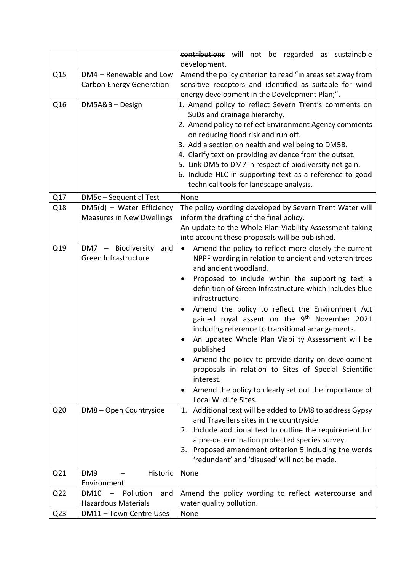|                 |                                                      | contributions will not be regarded as sustainable                                                           |
|-----------------|------------------------------------------------------|-------------------------------------------------------------------------------------------------------------|
| Q15             | DM4 - Renewable and Low                              | development.<br>Amend the policy criterion to read "in areas set away from                                  |
|                 | <b>Carbon Energy Generation</b>                      | sensitive receptors and identified as suitable for wind                                                     |
|                 |                                                      | energy development in the Development Plan;".                                                               |
| Q16             | DM5A&B-Design                                        | 1. Amend policy to reflect Severn Trent's comments on                                                       |
|                 |                                                      | SuDs and drainage hierarchy.                                                                                |
|                 |                                                      | 2. Amend policy to reflect Environment Agency comments                                                      |
|                 |                                                      | on reducing flood risk and run off.                                                                         |
|                 |                                                      | 3. Add a section on health and wellbeing to DM5B.<br>4. Clarify text on providing evidence from the outset. |
|                 |                                                      | 5. Link DM5 to DM7 in respect of biodiversity net gain.                                                     |
|                 |                                                      | 6. Include HLC in supporting text as a reference to good                                                    |
|                 |                                                      | technical tools for landscape analysis.                                                                     |
| Q17             | DM5c - Sequential Test                               | None                                                                                                        |
| Q18             | DM5(d) - Water Efficiency                            | The policy wording developed by Severn Trent Water will                                                     |
|                 | <b>Measures in New Dwellings</b>                     | inform the drafting of the final policy.                                                                    |
|                 |                                                      | An update to the Whole Plan Viability Assessment taking                                                     |
|                 |                                                      | into account these proposals will be published.                                                             |
| Q19             | DM7 - Biodiversity<br>and                            | Amend the policy to reflect more closely the current<br>$\bullet$                                           |
|                 | Green Infrastructure                                 | NPPF wording in relation to ancient and veteran trees<br>and ancient woodland.                              |
|                 |                                                      | Proposed to include within the supporting text a<br>٠                                                       |
|                 |                                                      | definition of Green Infrastructure which includes blue                                                      |
|                 |                                                      | infrastructure.                                                                                             |
|                 |                                                      | Amend the policy to reflect the Environment Act                                                             |
|                 |                                                      | gained royal assent on the 9 <sup>th</sup> November 2021                                                    |
|                 |                                                      | including reference to transitional arrangements.                                                           |
|                 |                                                      | An updated Whole Plan Viability Assessment will be                                                          |
|                 |                                                      | published                                                                                                   |
|                 |                                                      | Amend the policy to provide clarity on development<br>proposals in relation to Sites of Special Scientific  |
|                 |                                                      | interest.                                                                                                   |
|                 |                                                      | Amend the policy to clearly set out the importance of<br>٠                                                  |
|                 |                                                      | Local Wildlife Sites.                                                                                       |
| Q <sub>20</sub> | DM8 - Open Countryside                               | 1. Additional text will be added to DM8 to address Gypsy                                                    |
|                 |                                                      | and Travellers sites in the countryside.                                                                    |
|                 |                                                      | 2. Include additional text to outline the requirement for                                                   |
|                 |                                                      | a pre-determination protected species survey.                                                               |
|                 |                                                      | 3. Proposed amendment criterion 5 including the words<br>'redundant' and 'disused' will not be made.        |
| Q <sub>21</sub> | DM <sub>9</sub><br>Historic                          | None                                                                                                        |
|                 | Environment                                          |                                                                                                             |
| Q <sub>22</sub> | <b>DM10</b><br>Pollution<br>and<br>$\qquad \qquad -$ | Amend the policy wording to reflect watercourse and                                                         |
|                 | <b>Hazardous Materials</b>                           | water quality pollution.                                                                                    |
| Q <sub>23</sub> | DM11 - Town Centre Uses                              | None                                                                                                        |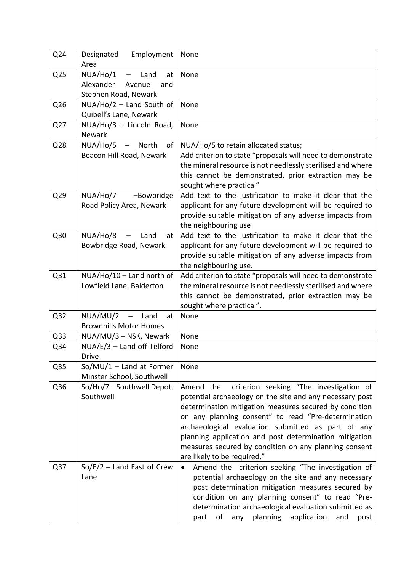| Q24             | Employment<br>Designated<br>Area                          | None                                                                                                  |
|-----------------|-----------------------------------------------------------|-------------------------------------------------------------------------------------------------------|
| Q <sub>25</sub> | NUA/Ho/1<br>Land<br>$\overline{\phantom{m}}$<br>at        | None                                                                                                  |
|                 | Alexander<br>Avenue<br>and                                |                                                                                                       |
|                 | Stephen Road, Newark                                      |                                                                                                       |
| Q26             | $NUA/Ho/2$ – Land South of                                | None                                                                                                  |
|                 | Quibell's Lane, Newark                                    |                                                                                                       |
| Q27             | NUA/Ho/3 - Lincoln Road,                                  | None                                                                                                  |
|                 | Newark                                                    |                                                                                                       |
| Q28             | NUA/Ho/5<br>of<br>– North                                 | NUA/Ho/5 to retain allocated status;                                                                  |
|                 | Beacon Hill Road, Newark                                  | Add criterion to state "proposals will need to demonstrate                                            |
|                 |                                                           | the mineral resource is not needlessly sterilised and where                                           |
|                 |                                                           | this cannot be demonstrated, prior extraction may be<br>sought where practical"                       |
| Q29             | NUA/Ho/7<br>-Bowbridge                                    | Add text to the justification to make it clear that the                                               |
|                 | Road Policy Area, Newark                                  | applicant for any future development will be required to                                              |
|                 |                                                           | provide suitable mitigation of any adverse impacts from                                               |
|                 |                                                           | the neighbouring use                                                                                  |
| Q30             | NUA/Ho/8<br>Land<br>at                                    | Add text to the justification to make it clear that the                                               |
|                 | Bowbridge Road, Newark                                    | applicant for any future development will be required to                                              |
|                 |                                                           | provide suitable mitigation of any adverse impacts from                                               |
|                 |                                                           | the neighbouring use.                                                                                 |
| Q <sub>31</sub> | NUA/Ho/10 - Land north of                                 | Add criterion to state "proposals will need to demonstrate                                            |
|                 | Lowfield Lane, Balderton                                  | the mineral resource is not needlessly sterilised and where                                           |
|                 |                                                           | this cannot be demonstrated, prior extraction may be                                                  |
|                 |                                                           | sought where practical".                                                                              |
| Q <sub>32</sub> | NUA/MU/2<br>- Land<br>at<br><b>Brownhills Motor Homes</b> | None                                                                                                  |
| Q <sub>33</sub> | NUA/MU/3 - NSK, Newark                                    | None                                                                                                  |
| Q34             | $NUA/E/3$ – Land off Telford                              | None                                                                                                  |
|                 | <b>Drive</b>                                              |                                                                                                       |
| Q <sub>35</sub> | $So/MU/1 - Land$ at Former                                | None                                                                                                  |
|                 | Minster School, Southwell                                 |                                                                                                       |
| Q36             | So/Ho/7 - Southwell Depot,                                | criterion seeking "The investigation of<br>Amend the                                                  |
|                 | Southwell                                                 | potential archaeology on the site and any necessary post                                              |
|                 |                                                           | determination mitigation measures secured by condition                                                |
|                 |                                                           | on any planning consent" to read "Pre-determination                                                   |
|                 |                                                           | archaeological evaluation submitted as part of any                                                    |
|                 |                                                           | planning application and post determination mitigation                                                |
|                 |                                                           | measures secured by condition on any planning consent                                                 |
|                 |                                                           | are likely to be required."                                                                           |
| Q <sub>37</sub> | $So/E/2$ – Land East of Crew                              | Amend the criterion seeking "The investigation of<br>$\bullet$                                        |
|                 | Lane                                                      | potential archaeology on the site and any necessary                                                   |
|                 |                                                           | post determination mitigation measures secured by<br>condition on any planning consent" to read "Pre- |
|                 |                                                           | determination archaeological evaluation submitted as                                                  |
|                 |                                                           | planning application<br>οf<br>part<br>any<br>and<br>post                                              |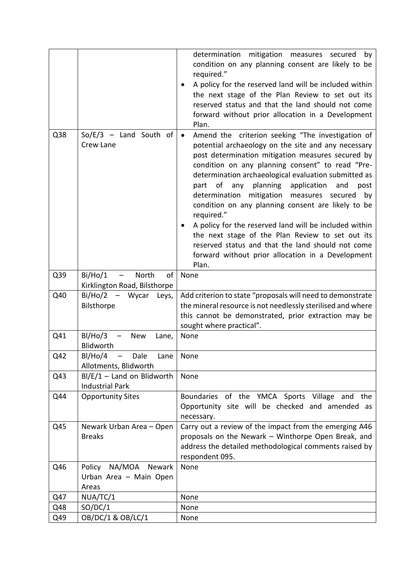|     |                                                    | determination mitigation measures secured<br>by                                                                                                                                                                                                                                                                               |
|-----|----------------------------------------------------|-------------------------------------------------------------------------------------------------------------------------------------------------------------------------------------------------------------------------------------------------------------------------------------------------------------------------------|
|     |                                                    | condition on any planning consent are likely to be<br>required."                                                                                                                                                                                                                                                              |
|     |                                                    | A policy for the reserved land will be included within                                                                                                                                                                                                                                                                        |
|     |                                                    | the next stage of the Plan Review to set out its                                                                                                                                                                                                                                                                              |
|     |                                                    | reserved status and that the land should not come                                                                                                                                                                                                                                                                             |
|     |                                                    | forward without prior allocation in a Development                                                                                                                                                                                                                                                                             |
|     |                                                    | Plan.                                                                                                                                                                                                                                                                                                                         |
| Q38 | $So/E/3$ – Land South of<br>Crew Lane              | Amend the criterion seeking "The investigation of<br>$\bullet$<br>potential archaeology on the site and any necessary<br>post determination mitigation measures secured by<br>condition on any planning consent" to read "Pre-<br>determination archaeological evaluation submitted as<br>planning application<br>and<br>post |
|     |                                                    | part of<br>any<br>determination<br>mitigation measures secured<br>by<br>condition on any planning consent are likely to be                                                                                                                                                                                                    |
|     |                                                    | required."<br>A policy for the reserved land will be included within                                                                                                                                                                                                                                                          |
|     |                                                    | the next stage of the Plan Review to set out its                                                                                                                                                                                                                                                                              |
|     |                                                    | reserved status and that the land should not come                                                                                                                                                                                                                                                                             |
|     |                                                    | forward without prior allocation in a Development                                                                                                                                                                                                                                                                             |
|     |                                                    | Plan.                                                                                                                                                                                                                                                                                                                         |
| Q39 | North<br>of<br>Bi/Ho/1<br>$\overline{\phantom{m}}$ | None                                                                                                                                                                                                                                                                                                                          |
|     | Kirklington Road, Bilsthorpe                       |                                                                                                                                                                                                                                                                                                                               |
| Q40 | Bi/Ho/2<br>- Wycar<br>Leys,                        | Add criterion to state "proposals will need to demonstrate                                                                                                                                                                                                                                                                    |
|     | Bilsthorpe                                         | the mineral resource is not needlessly sterilised and where                                                                                                                                                                                                                                                                   |
|     |                                                    | this cannot be demonstrated, prior extraction may be<br>sought where practical".                                                                                                                                                                                                                                              |
| Q41 | BI/Ho/3<br><b>New</b><br>Lane,                     | None                                                                                                                                                                                                                                                                                                                          |
|     | Blidworth                                          |                                                                                                                                                                                                                                                                                                                               |
| Q42 | $BI/Ho/4$ - Dale<br>Lane                           | None                                                                                                                                                                                                                                                                                                                          |
|     | Allotments, Blidworth                              |                                                                                                                                                                                                                                                                                                                               |
| Q43 | $BI/E/1 - Land$ on Blidworth                       | None                                                                                                                                                                                                                                                                                                                          |
|     | <b>Industrial Park</b>                             |                                                                                                                                                                                                                                                                                                                               |
| Q44 | <b>Opportunity Sites</b>                           | Boundaries of the YMCA Sports Village<br>and the<br>Opportunity site will be checked and amended as<br>necessary.                                                                                                                                                                                                             |
| Q45 | Newark Urban Area - Open<br><b>Breaks</b>          | Carry out a review of the impact from the emerging A46<br>proposals on the Newark - Winthorpe Open Break, and<br>address the detailed methodological comments raised by<br>respondent 095.                                                                                                                                    |
| Q46 | NA/MOA Newark<br>Policy                            | None                                                                                                                                                                                                                                                                                                                          |
|     | Urban Area - Main Open                             |                                                                                                                                                                                                                                                                                                                               |
|     | Areas                                              |                                                                                                                                                                                                                                                                                                                               |
| Q47 | NUA/TC/1                                           | None                                                                                                                                                                                                                                                                                                                          |
| Q48 | SO/DC/1                                            | None                                                                                                                                                                                                                                                                                                                          |
| Q49 | OB/DC/1 & OB/LC/1                                  | None                                                                                                                                                                                                                                                                                                                          |